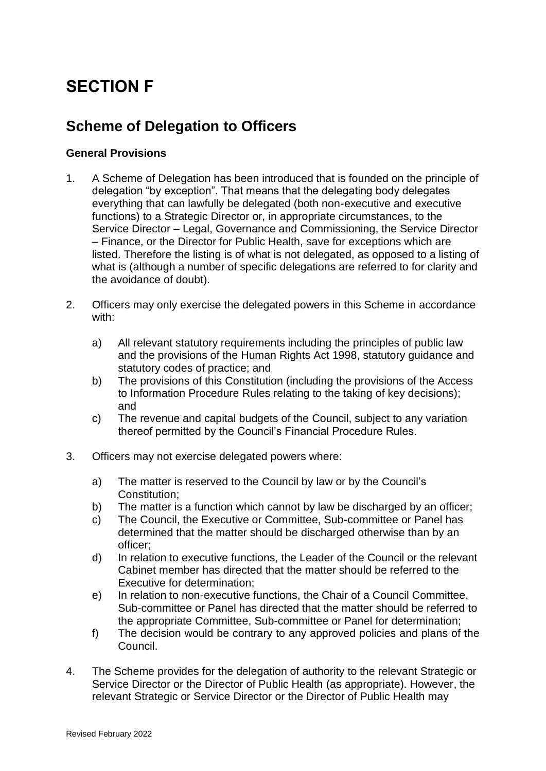# **SECTION F**

# **Scheme of Delegation to Officers**

### **General Provisions**

- 1. A Scheme of Delegation has been introduced that is founded on the principle of delegation "by exception". That means that the delegating body delegates everything that can lawfully be delegated (both non-executive and executive functions) to a Strategic Director or, in appropriate circumstances, to the Service Director – Legal, Governance and Commissioning, the Service Director – Finance, or the Director for Public Health, save for exceptions which are listed. Therefore the listing is of what is not delegated, as opposed to a listing of what is (although a number of specific delegations are referred to for clarity and the avoidance of doubt).
- 2. Officers may only exercise the delegated powers in this Scheme in accordance with:
	- a) All relevant statutory requirements including the principles of public law and the provisions of the Human Rights Act 1998, statutory guidance and statutory codes of practice; and
	- b) The provisions of this Constitution (including the provisions of the Access to Information Procedure Rules relating to the taking of key decisions); and
	- c) The revenue and capital budgets of the Council, subject to any variation thereof permitted by the Council's Financial Procedure Rules.
- 3. Officers may not exercise delegated powers where:
	- a) The matter is reserved to the Council by law or by the Council's Constitution;
	- b) The matter is a function which cannot by law be discharged by an officer;
	- c) The Council, the Executive or Committee, Sub-committee or Panel has determined that the matter should be discharged otherwise than by an officer;
	- d) In relation to executive functions, the Leader of the Council or the relevant Cabinet member has directed that the matter should be referred to the Executive for determination;
	- e) In relation to non-executive functions, the Chair of a Council Committee, Sub-committee or Panel has directed that the matter should be referred to the appropriate Committee, Sub-committee or Panel for determination;
	- f) The decision would be contrary to any approved policies and plans of the Council.
- 4. The Scheme provides for the delegation of authority to the relevant Strategic or Service Director or the Director of Public Health (as appropriate). However, the relevant Strategic or Service Director or the Director of Public Health may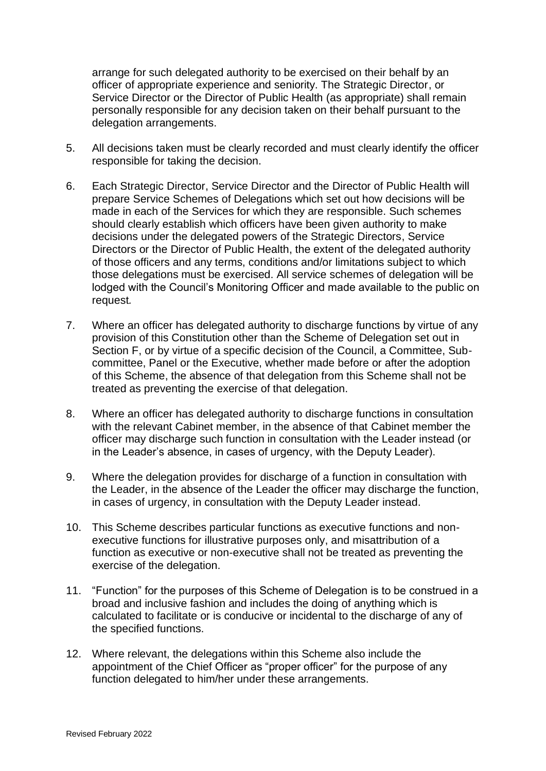arrange for such delegated authority to be exercised on their behalf by an officer of appropriate experience and seniority. The Strategic Director, or Service Director or the Director of Public Health (as appropriate) shall remain personally responsible for any decision taken on their behalf pursuant to the delegation arrangements.

- 5. All decisions taken must be clearly recorded and must clearly identify the officer responsible for taking the decision.
- 6. Each Strategic Director, Service Director and the Director of Public Health will prepare Service Schemes of Delegations which set out how decisions will be made in each of the Services for which they are responsible. Such schemes should clearly establish which officers have been given authority to make decisions under the delegated powers of the Strategic Directors, Service Directors or the Director of Public Health, the extent of the delegated authority of those officers and any terms, conditions and/or limitations subject to which those delegations must be exercised. All service schemes of delegation will be lodged with the Council's Monitoring Officer and made available to the public on request*.*
- 7. Where an officer has delegated authority to discharge functions by virtue of any provision of this Constitution other than the Scheme of Delegation set out in Section F, or by virtue of a specific decision of the Council, a Committee, Subcommittee, Panel or the Executive, whether made before or after the adoption of this Scheme, the absence of that delegation from this Scheme shall not be treated as preventing the exercise of that delegation.
- 8. Where an officer has delegated authority to discharge functions in consultation with the relevant Cabinet member, in the absence of that Cabinet member the officer may discharge such function in consultation with the Leader instead (or in the Leader's absence, in cases of urgency, with the Deputy Leader).
- 9. Where the delegation provides for discharge of a function in consultation with the Leader, in the absence of the Leader the officer may discharge the function, in cases of urgency, in consultation with the Deputy Leader instead.
- 10. This Scheme describes particular functions as executive functions and nonexecutive functions for illustrative purposes only, and misattribution of a function as executive or non-executive shall not be treated as preventing the exercise of the delegation.
- 11. "Function" for the purposes of this Scheme of Delegation is to be construed in a broad and inclusive fashion and includes the doing of anything which is calculated to facilitate or is conducive or incidental to the discharge of any of the specified functions.
- 12. Where relevant, the delegations within this Scheme also include the appointment of the Chief Officer as "proper officer" for the purpose of any function delegated to him/her under these arrangements.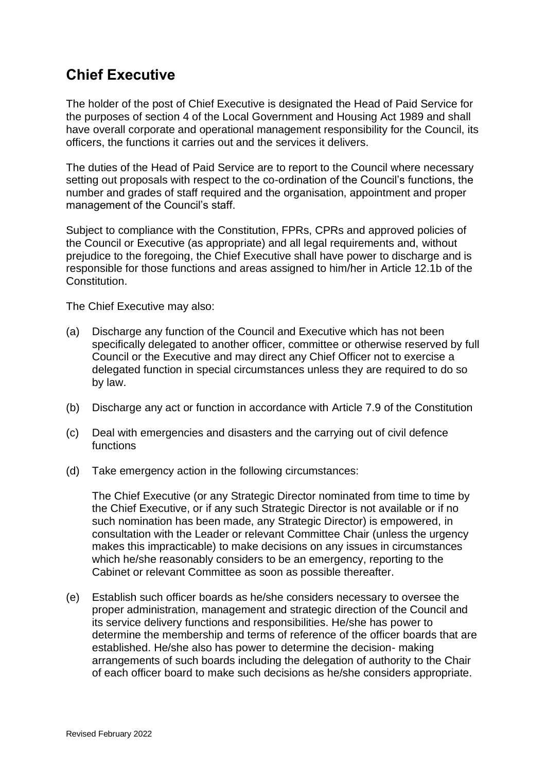# **Chief Executive**

The holder of the post of Chief Executive is designated the Head of Paid Service for the purposes of section 4 of the Local Government and Housing Act 1989 and shall have overall corporate and operational management responsibility for the Council, its officers, the functions it carries out and the services it delivers.

The duties of the Head of Paid Service are to report to the Council where necessary setting out proposals with respect to the co-ordination of the Council's functions, the number and grades of staff required and the organisation, appointment and proper management of the Council's staff.

Subject to compliance with the Constitution, FPRs, CPRs and approved policies of the Council or Executive (as appropriate) and all legal requirements and, without prejudice to the foregoing, the Chief Executive shall have power to discharge and is responsible for those functions and areas assigned to him/her in Article 12.1b of the Constitution.

The Chief Executive may also:

- (a) Discharge any function of the Council and Executive which has not been specifically delegated to another officer, committee or otherwise reserved by full Council or the Executive and may direct any Chief Officer not to exercise a delegated function in special circumstances unless they are required to do so by law.
- (b) Discharge any act or function in accordance with Article 7.9 of the Constitution
- (c) Deal with emergencies and disasters and the carrying out of civil defence functions
- (d) Take emergency action in the following circumstances:

The Chief Executive (or any Strategic Director nominated from time to time by the Chief Executive, or if any such Strategic Director is not available or if no such nomination has been made, any Strategic Director) is empowered, in consultation with the Leader or relevant Committee Chair (unless the urgency makes this impracticable) to make decisions on any issues in circumstances which he/she reasonably considers to be an emergency, reporting to the Cabinet or relevant Committee as soon as possible thereafter.

(e) Establish such officer boards as he/she considers necessary to oversee the proper administration, management and strategic direction of the Council and its service delivery functions and responsibilities. He/she has power to determine the membership and terms of reference of the officer boards that are established. He/she also has power to determine the decision- making arrangements of such boards including the delegation of authority to the Chair of each officer board to make such decisions as he/she considers appropriate.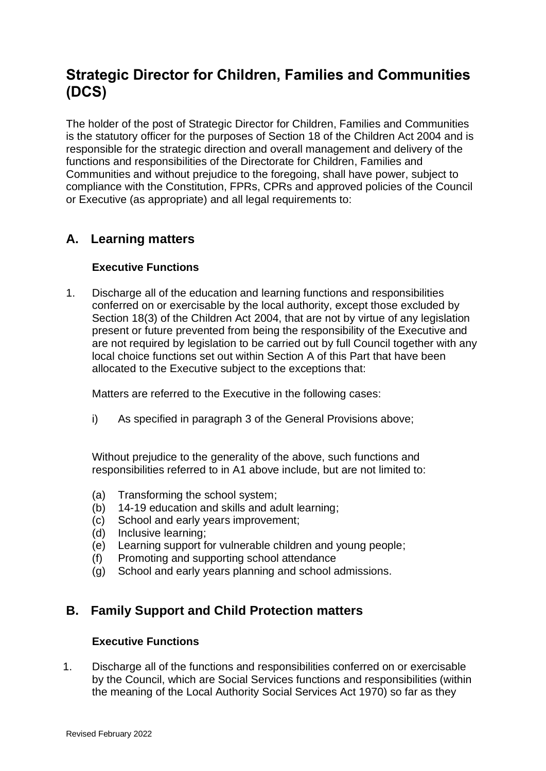# **Strategic Director for Children, Families and Communities (DCS)**

The holder of the post of Strategic Director for Children, Families and Communities is the statutory officer for the purposes of Section 18 of the Children Act 2004 and is responsible for the strategic direction and overall management and delivery of the functions and responsibilities of the Directorate for Children, Families and Communities and without prejudice to the foregoing, shall have power, subject to compliance with the Constitution, FPRs, CPRs and approved policies of the Council or Executive (as appropriate) and all legal requirements to:

# **A. Learning matters**

## **Executive Functions**

1. Discharge all of the education and learning functions and responsibilities conferred on or exercisable by the local authority, except those excluded by Section 18(3) of the Children Act 2004, that are not by virtue of any legislation present or future prevented from being the responsibility of the Executive and are not required by legislation to be carried out by full Council together with any local choice functions set out within Section A of this Part that have been allocated to the Executive subject to the exceptions that:

Matters are referred to the Executive in the following cases:

i) As specified in paragraph 3 of the General Provisions above;

Without prejudice to the generality of the above, such functions and responsibilities referred to in A1 above include, but are not limited to:

- (a) Transforming the school system;
- (b) 14-19 education and skills and adult learning;
- (c) School and early years improvement;
- (d) Inclusive learning;
- (e) Learning support for vulnerable children and young people;
- (f) Promoting and supporting school attendance
- (g) School and early years planning and school admissions.

## **B. Family Support and Child Protection matters**

### **Executive Functions**

1. Discharge all of the functions and responsibilities conferred on or exercisable by the Council, which are Social Services functions and responsibilities (within the meaning of the Local Authority Social Services Act 1970) so far as they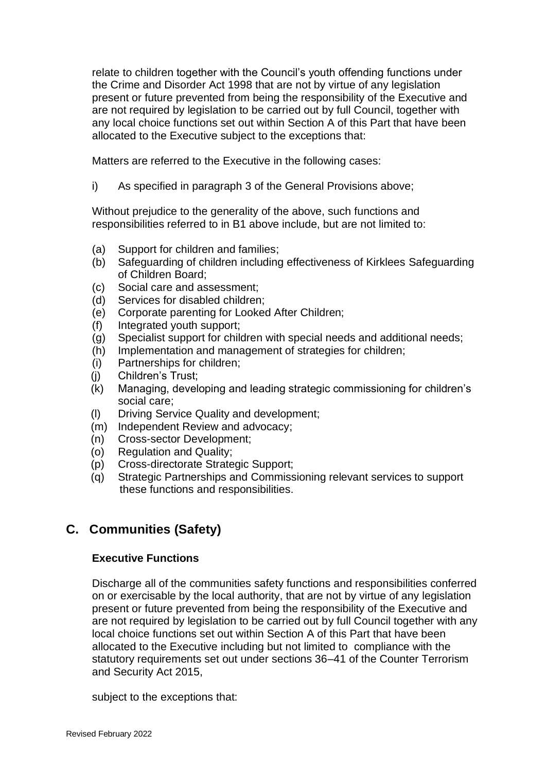relate to children together with the Council's youth offending functions under the Crime and Disorder Act 1998 that are not by virtue of any legislation present or future prevented from being the responsibility of the Executive and are not required by legislation to be carried out by full Council, together with any local choice functions set out within Section A of this Part that have been allocated to the Executive subject to the exceptions that:

Matters are referred to the Executive in the following cases:

i) As specified in paragraph 3 of the General Provisions above;

Without prejudice to the generality of the above, such functions and responsibilities referred to in B1 above include, but are not limited to:

- (a) Support for children and families;
- (b) Safeguarding of children including effectiveness of Kirklees Safeguarding of Children Board;
- (c) Social care and assessment;
- (d) Services for disabled children;
- (e) Corporate parenting for Looked After Children;
- (f) Integrated youth support;
- (g) Specialist support for children with special needs and additional needs;
- (h) Implementation and management of strategies for children;
- (i) Partnerships for children;
- (j) Children's Trust;
- (k) Managing, developing and leading strategic commissioning for children's social care;
- (l) Driving Service Quality and development;
- (m) Independent Review and advocacy;
- (n) Cross-sector Development;
- (o) Regulation and Quality;
- (p) Cross-directorate Strategic Support;
- (q) Strategic Partnerships and Commissioning relevant services to support these functions and responsibilities.

# **C. Communities (Safety)**

## **Executive Functions**

Discharge all of the communities safety functions and responsibilities conferred on or exercisable by the local authority, that are not by virtue of any legislation present or future prevented from being the responsibility of the Executive and are not required by legislation to be carried out by full Council together with any local choice functions set out within Section A of this Part that have been allocated to the Executive including but not limited to compliance with the statutory requirements set out under sections 36–41 of the Counter Terrorism and Security Act 2015,

subject to the exceptions that: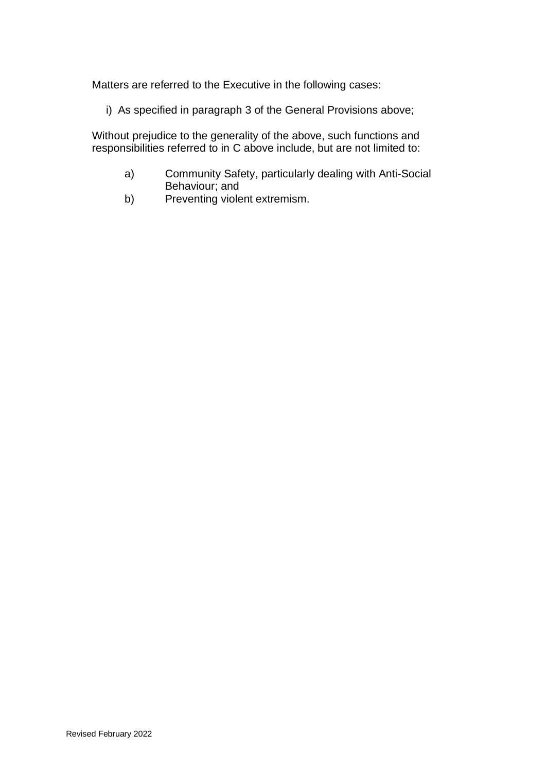Matters are referred to the Executive in the following cases:

i) As specified in paragraph 3 of the General Provisions above;

Without prejudice to the generality of the above, such functions and responsibilities referred to in C above include, but are not limited to:

- a) Community Safety, particularly dealing with Anti-Social Behaviour; and
- b) Preventing violent extremism.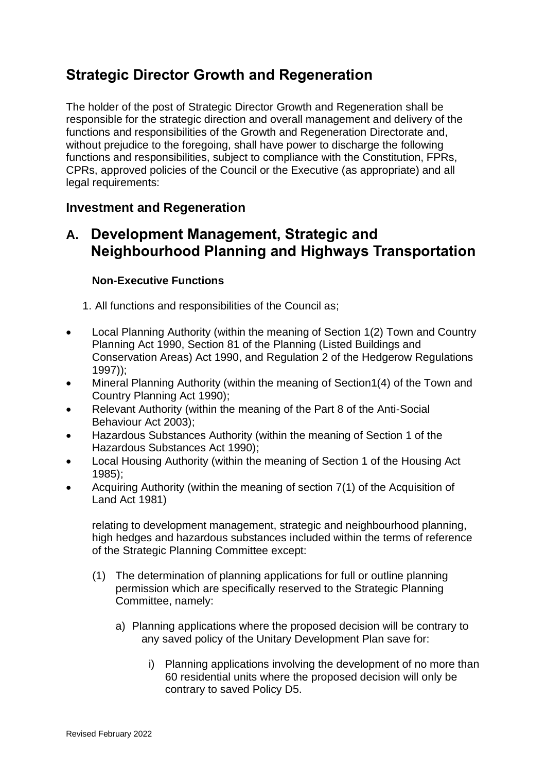# **Strategic Director Growth and Regeneration**

The holder of the post of Strategic Director Growth and Regeneration shall be responsible for the strategic direction and overall management and delivery of the functions and responsibilities of the Growth and Regeneration Directorate and, without prejudice to the foregoing, shall have power to discharge the following functions and responsibilities, subject to compliance with the Constitution, FPRs, CPRs, approved policies of the Council or the Executive (as appropriate) and all legal requirements:

## **Investment and Regeneration**

# **A. Development Management, Strategic and Neighbourhood Planning and Highways Transportation**

### **Non-Executive Functions**

1. All functions and responsibilities of the Council as;

- Local Planning Authority (within the meaning of Section 1(2) Town and Country Planning Act 1990, Section 81 of the Planning (Listed Buildings and Conservation Areas) Act 1990, and Regulation 2 of the Hedgerow Regulations 1997));
- Mineral Planning Authority (within the meaning of Section1(4) of the Town and Country Planning Act 1990);
- Relevant Authority (within the meaning of the Part 8 of the Anti-Social Behaviour Act 2003);
- Hazardous Substances Authority (within the meaning of Section 1 of the Hazardous Substances Act 1990);
- Local Housing Authority (within the meaning of Section 1 of the Housing Act 1985);
- Acquiring Authority (within the meaning of section 7(1) of the Acquisition of Land Act 1981)

relating to development management, strategic and neighbourhood planning, high hedges and hazardous substances included within the terms of reference of the Strategic Planning Committee except:

- (1) The determination of planning applications for full or outline planning permission which are specifically reserved to the Strategic Planning Committee, namely:
	- a) Planning applications where the proposed decision will be contrary to any saved policy of the Unitary Development Plan save for:
		- i) Planning applications involving the development of no more than 60 residential units where the proposed decision will only be contrary to saved Policy D5.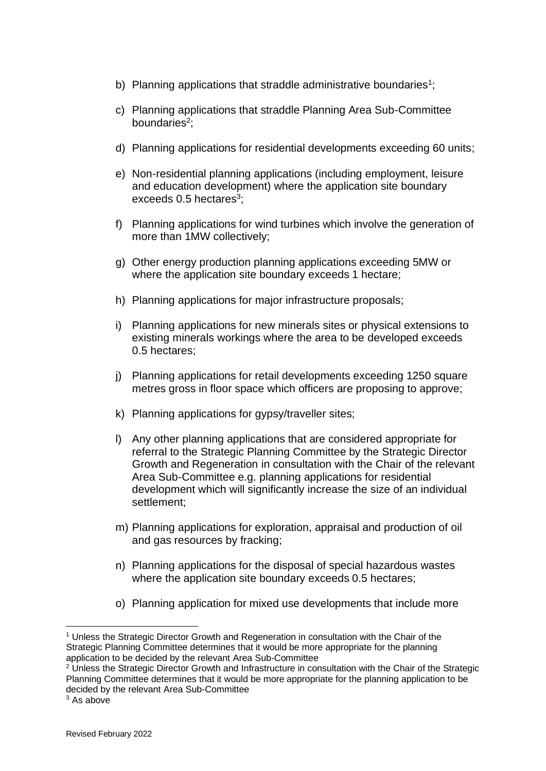- b) Planning applications that straddle administrative boundaries<sup>1</sup>;
- c) Planning applications that straddle Planning Area Sub-Committee boundaries<sup>2</sup>;
- d) Planning applications for residential developments exceeding 60 units;
- e) Non-residential planning applications (including employment, leisure and education development) where the application site boundary exceeds  $0.5$  hectares<sup>3</sup>;
- f) Planning applications for wind turbines which involve the generation of more than 1MW collectively;
- g) Other energy production planning applications exceeding 5MW or where the application site boundary exceeds 1 hectare;
- h) Planning applications for major infrastructure proposals;
- i) Planning applications for new minerals sites or physical extensions to existing minerals workings where the area to be developed exceeds 0.5 hectares;
- j) Planning applications for retail developments exceeding 1250 square metres gross in floor space which officers are proposing to approve;
- k) Planning applications for gypsy/traveller sites;
- l) Any other planning applications that are considered appropriate for referral to the Strategic Planning Committee by the Strategic Director Growth and Regeneration in consultation with the Chair of the relevant Area Sub-Committee e.g. planning applications for residential development which will significantly increase the size of an individual settlement;
- m) Planning applications for exploration, appraisal and production of oil and gas resources by fracking;
- n) Planning applications for the disposal of special hazardous wastes where the application site boundary exceeds 0.5 hectares;
- o) Planning application for mixed use developments that include more

<sup>1</sup> Unless the Strategic Director Growth and Regeneration in consultation with the Chair of the Strategic Planning Committee determines that it would be more appropriate for the planning application to be decided by the relevant Area Sub-Committee

<sup>&</sup>lt;sup>2</sup> Unless the Strategic Director Growth and Infrastructure in consultation with the Chair of the Strategic Planning Committee determines that it would be more appropriate for the planning application to be decided by the relevant Area Sub-Committee

 $3$  As above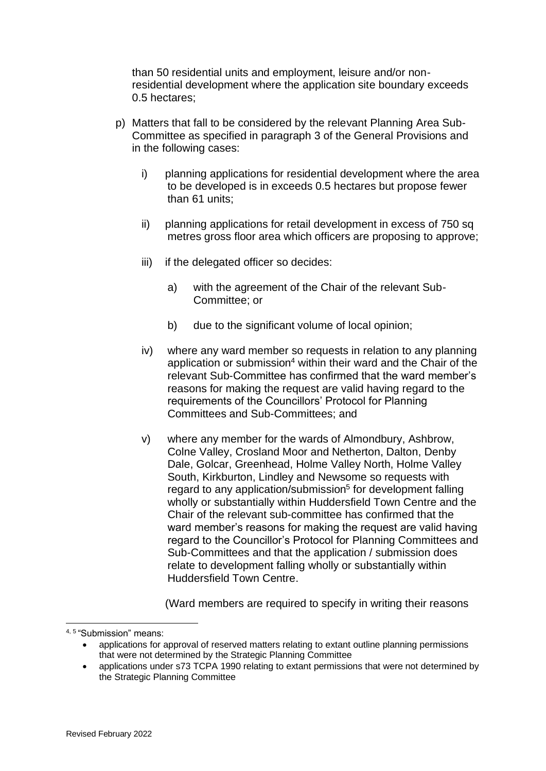than 50 residential units and employment, leisure and/or nonresidential development where the application site boundary exceeds 0.5 hectares;

- p) Matters that fall to be considered by the relevant Planning Area Sub-Committee as specified in paragraph 3 of the General Provisions and in the following cases:
	- i) planning applications for residential development where the area to be developed is in exceeds 0.5 hectares but propose fewer than 61 units;
	- ii) planning applications for retail development in excess of 750 sq metres gross floor area which officers are proposing to approve;
	- iii) if the delegated officer so decides:
		- a) with the agreement of the Chair of the relevant Sub-Committee; or
		- b) due to the significant volume of local opinion;
	- iv) where any ward member so requests in relation to any planning application or submission<sup>4</sup> within their ward and the Chair of the relevant Sub-Committee has confirmed that the ward member's reasons for making the request are valid having regard to the requirements of the Councillors' Protocol for Planning Committees and Sub-Committees; and
	- v) where any member for the wards of Almondbury, Ashbrow, Colne Valley, Crosland Moor and Netherton, Dalton, Denby Dale, Golcar, Greenhead, Holme Valley North, Holme Valley South, Kirkburton, Lindley and Newsome so requests with regard to any application/submission<sup>5</sup> for development falling wholly or substantially within Huddersfield Town Centre and the Chair of the relevant sub-committee has confirmed that the ward member's reasons for making the request are valid having regard to the Councillor's Protocol for Planning Committees and Sub-Committees and that the application / submission does relate to development falling wholly or substantially within Huddersfield Town Centre.

(Ward members are required to specify in writing their reasons

<sup>&</sup>lt;sup>4, 5</sup> "Submission" means:

<sup>•</sup> applications for approval of reserved matters relating to extant outline planning permissions that were not determined by the Strategic Planning Committee

<sup>•</sup> applications under s73 TCPA 1990 relating to extant permissions that were not determined by the Strategic Planning Committee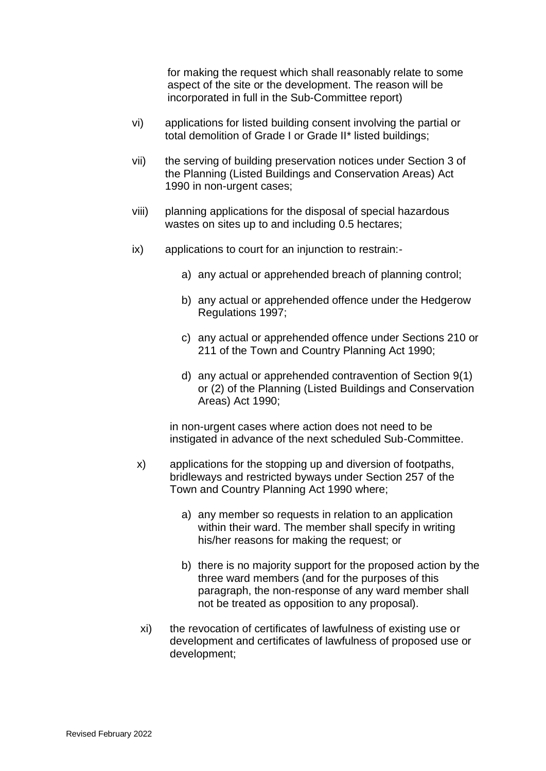for making the request which shall reasonably relate to some aspect of the site or the development. The reason will be incorporated in full in the Sub-Committee report)

- vi) applications for listed building consent involving the partial or total demolition of Grade I or Grade II\* listed buildings;
- vii) the serving of building preservation notices under Section 3 of the Planning (Listed Buildings and Conservation Areas) Act 1990 in non-urgent cases;
- viii) planning applications for the disposal of special hazardous wastes on sites up to and including 0.5 hectares;
- ix) applications to court for an injunction to restrain:
	- a) any actual or apprehended breach of planning control;
	- b) any actual or apprehended offence under the Hedgerow Regulations 1997;
	- c) any actual or apprehended offence under Sections 210 or 211 of the Town and Country Planning Act 1990;
	- d) any actual or apprehended contravention of Section 9(1) or (2) of the Planning (Listed Buildings and Conservation Areas) Act 1990;

in non-urgent cases where action does not need to be instigated in advance of the next scheduled Sub-Committee.

- x) applications for the stopping up and diversion of footpaths, bridleways and restricted byways under Section 257 of the Town and Country Planning Act 1990 where;
	- a) any member so requests in relation to an application within their ward. The member shall specify in writing his/her reasons for making the request; or
	- b) there is no majority support for the proposed action by the three ward members (and for the purposes of this paragraph, the non-response of any ward member shall not be treated as opposition to any proposal).
- xi) the revocation of certificates of lawfulness of existing use or development and certificates of lawfulness of proposed use or development;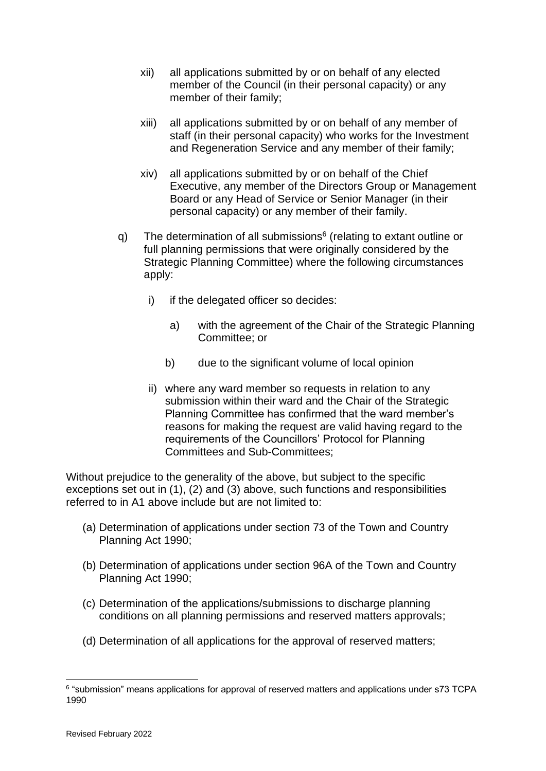- xii) all applications submitted by or on behalf of any elected member of the Council (in their personal capacity) or any member of their family;
- xiii) all applications submitted by or on behalf of any member of staff (in their personal capacity) who works for the Investment and Regeneration Service and any member of their family;
- xiv) all applications submitted by or on behalf of the Chief Executive, any member of the Directors Group or Management Board or any Head of Service or Senior Manager (in their personal capacity) or any member of their family.
- q) The determination of all submissions<sup>6</sup> (relating to extant outline or full planning permissions that were originally considered by the Strategic Planning Committee) where the following circumstances apply:
	- i) if the delegated officer so decides:
		- a) with the agreement of the Chair of the Strategic Planning Committee; or
		- b) due to the significant volume of local opinion
	- ii) where any ward member so requests in relation to any submission within their ward and the Chair of the Strategic Planning Committee has confirmed that the ward member's reasons for making the request are valid having regard to the requirements of the Councillors' Protocol for Planning Committees and Sub-Committees;

Without prejudice to the generality of the above, but subject to the specific exceptions set out in (1), (2) and (3) above, such functions and responsibilities referred to in A1 above include but are not limited to:

- (a) Determination of applications under section 73 of the Town and Country Planning Act 1990;
- (b) Determination of applications under section 96A of the Town and Country Planning Act 1990;
- (c) Determination of the applications/submissions to discharge planning conditions on all planning permissions and reserved matters approvals;
- (d) Determination of all applications for the approval of reserved matters;

<sup>&</sup>lt;sup>6</sup> "submission" means applications for approval of reserved matters and applications under s73 TCPA 1990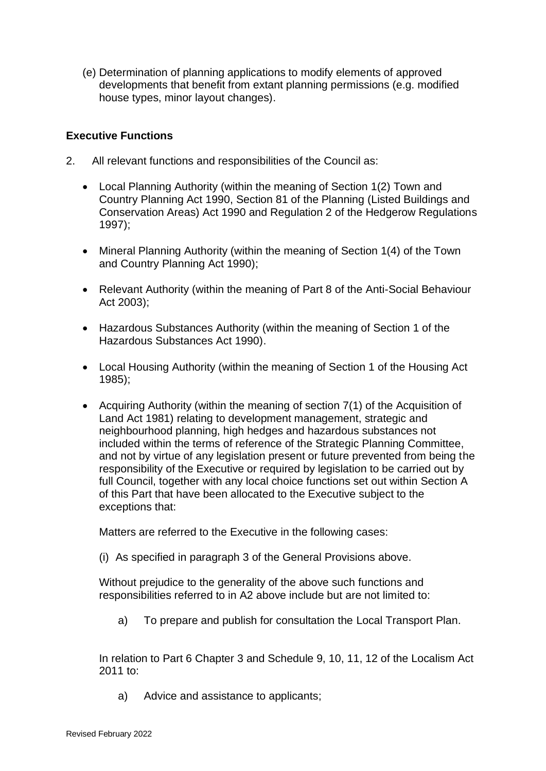(e) Determination of planning applications to modify elements of approved developments that benefit from extant planning permissions (e.g. modified house types, minor layout changes).

### **Executive Functions**

- 2. All relevant functions and responsibilities of the Council as:
	- Local Planning Authority (within the meaning of Section 1(2) Town and Country Planning Act 1990, Section 81 of the Planning (Listed Buildings and Conservation Areas) Act 1990 and Regulation 2 of the Hedgerow Regulations 1997);
	- Mineral Planning Authority (within the meaning of Section 1(4) of the Town and Country Planning Act 1990);
	- Relevant Authority (within the meaning of Part 8 of the Anti-Social Behaviour Act 2003);
	- Hazardous Substances Authority (within the meaning of Section 1 of the Hazardous Substances Act 1990).
	- Local Housing Authority (within the meaning of Section 1 of the Housing Act 1985);
	- Acquiring Authority (within the meaning of section 7(1) of the Acquisition of Land Act 1981) relating to development management, strategic and neighbourhood planning, high hedges and hazardous substances not included within the terms of reference of the Strategic Planning Committee, and not by virtue of any legislation present or future prevented from being the responsibility of the Executive or required by legislation to be carried out by full Council, together with any local choice functions set out within Section A of this Part that have been allocated to the Executive subject to the exceptions that:

Matters are referred to the Executive in the following cases:

(i) As specified in paragraph 3 of the General Provisions above.

Without prejudice to the generality of the above such functions and responsibilities referred to in A2 above include but are not limited to:

a) To prepare and publish for consultation the Local Transport Plan.

In relation to Part 6 Chapter 3 and Schedule 9, 10, 11, 12 of the Localism Act 2011 to:

a) Advice and assistance to applicants;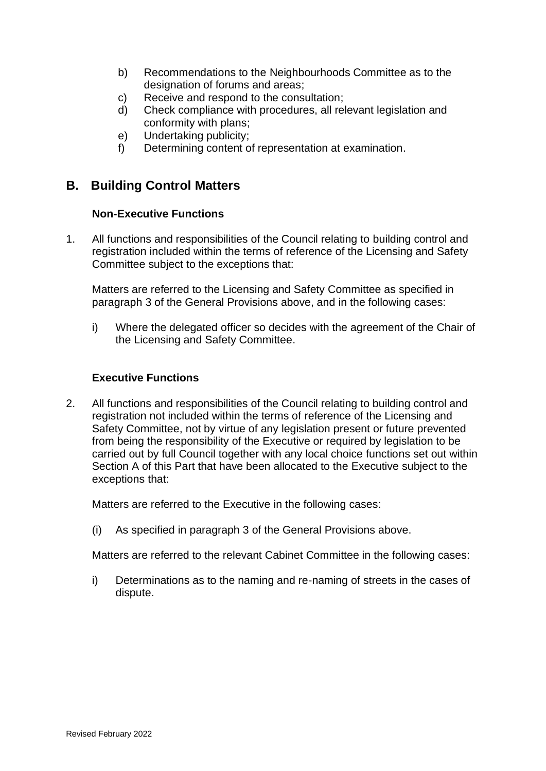- b) Recommendations to the Neighbourhoods Committee as to the designation of forums and areas;
- c) Receive and respond to the consultation;
- d) Check compliance with procedures, all relevant legislation and conformity with plans;
- e) Undertaking publicity;
- f) Determining content of representation at examination.

## **B. Building Control Matters**

### **Non-Executive Functions**

1. All functions and responsibilities of the Council relating to building control and registration included within the terms of reference of the Licensing and Safety Committee subject to the exceptions that:

Matters are referred to the Licensing and Safety Committee as specified in paragraph 3 of the General Provisions above, and in the following cases:

i) Where the delegated officer so decides with the agreement of the Chair of the Licensing and Safety Committee.

### **Executive Functions**

2. All functions and responsibilities of the Council relating to building control and registration not included within the terms of reference of the Licensing and Safety Committee, not by virtue of any legislation present or future prevented from being the responsibility of the Executive or required by legislation to be carried out by full Council together with any local choice functions set out within Section A of this Part that have been allocated to the Executive subject to the exceptions that:

Matters are referred to the Executive in the following cases:

(i) As specified in paragraph 3 of the General Provisions above.

Matters are referred to the relevant Cabinet Committee in the following cases:

i) Determinations as to the naming and re-naming of streets in the cases of dispute.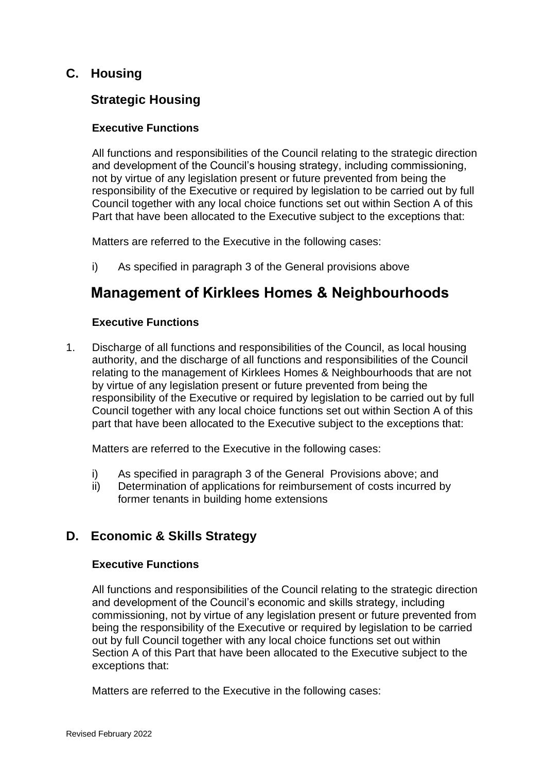## **C. Housing**

## **Strategic Housing**

### **Executive Functions**

All functions and responsibilities of the Council relating to the strategic direction and development of the Council's housing strategy, including commissioning, not by virtue of any legislation present or future prevented from being the responsibility of the Executive or required by legislation to be carried out by full Council together with any local choice functions set out within Section A of this Part that have been allocated to the Executive subject to the exceptions that:

Matters are referred to the Executive in the following cases:

i) As specified in paragraph 3 of the General provisions above

# **Management of Kirklees Homes & Neighbourhoods**

### **Executive Functions**

1. Discharge of all functions and responsibilities of the Council, as local housing authority, and the discharge of all functions and responsibilities of the Council relating to the management of Kirklees Homes & Neighbourhoods that are not by virtue of any legislation present or future prevented from being the responsibility of the Executive or required by legislation to be carried out by full Council together with any local choice functions set out within Section A of this part that have been allocated to the Executive subject to the exceptions that:

Matters are referred to the Executive in the following cases:

- i) As specified in paragraph 3 of the General Provisions above; and
- ii) Determination of applications for reimbursement of costs incurred by former tenants in building home extensions

## **D. Economic & Skills Strategy**

### **Executive Functions**

All functions and responsibilities of the Council relating to the strategic direction and development of the Council's economic and skills strategy, including commissioning, not by virtue of any legislation present or future prevented from being the responsibility of the Executive or required by legislation to be carried out by full Council together with any local choice functions set out within Section A of this Part that have been allocated to the Executive subject to the exceptions that:

Matters are referred to the Executive in the following cases: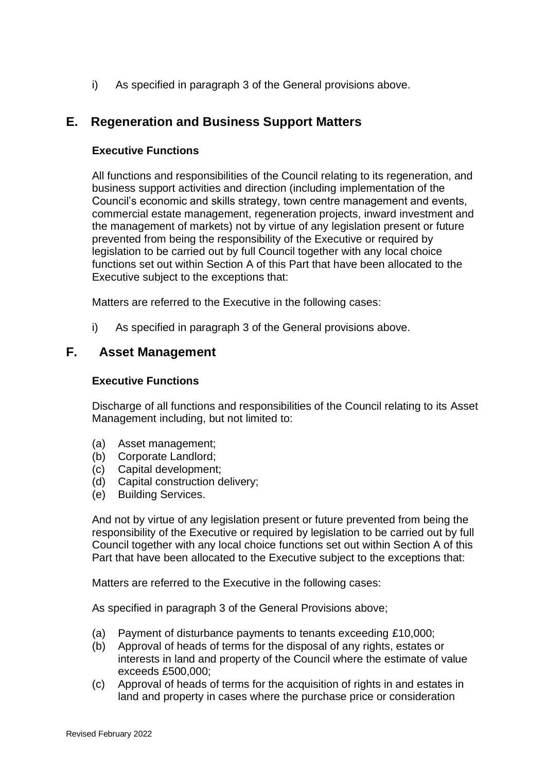i) As specified in paragraph 3 of the General provisions above.

## **E. Regeneration and Business Support Matters**

### **Executive Functions**

All functions and responsibilities of the Council relating to its regeneration, and business support activities and direction (including implementation of the Council's economic and skills strategy, town centre management and events, commercial estate management, regeneration projects, inward investment and the management of markets) not by virtue of any legislation present or future prevented from being the responsibility of the Executive or required by legislation to be carried out by full Council together with any local choice functions set out within Section A of this Part that have been allocated to the Executive subject to the exceptions that:

Matters are referred to the Executive in the following cases:

i) As specified in paragraph 3 of the General provisions above.

### **F. Asset Management**

#### **Executive Functions**

Discharge of all functions and responsibilities of the Council relating to its Asset Management including, but not limited to:

- (a) Asset management;
- (b) Corporate Landlord;
- (c) Capital development;
- (d) Capital construction delivery;
- (e) Building Services.

And not by virtue of any legislation present or future prevented from being the responsibility of the Executive or required by legislation to be carried out by full Council together with any local choice functions set out within Section A of this Part that have been allocated to the Executive subject to the exceptions that:

Matters are referred to the Executive in the following cases:

As specified in paragraph 3 of the General Provisions above;

- (a) Payment of disturbance payments to tenants exceeding £10,000;
- (b) Approval of heads of terms for the disposal of any rights, estates or interests in land and property of the Council where the estimate of value exceeds £500,000;
- (c) Approval of heads of terms for the acquisition of rights in and estates in land and property in cases where the purchase price or consideration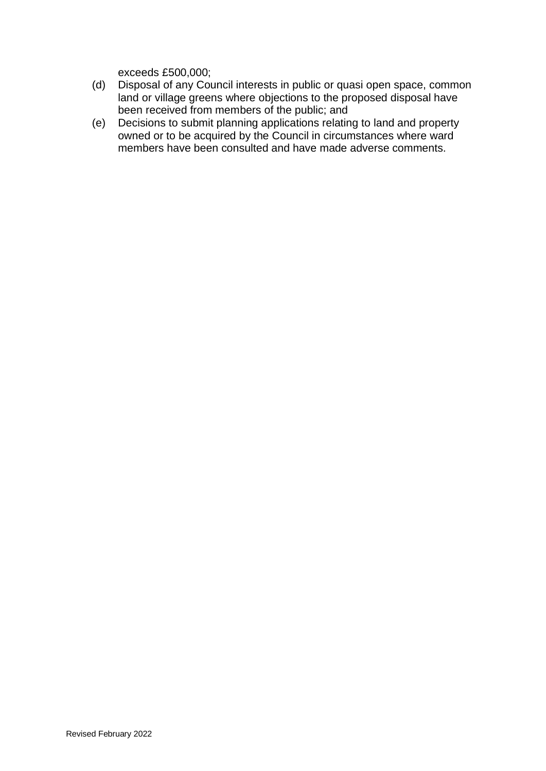exceeds £500,000;

- (d) Disposal of any Council interests in public or quasi open space, common land or village greens where objections to the proposed disposal have been received from members of the public; and
- (e) Decisions to submit planning applications relating to land and property owned or to be acquired by the Council in circumstances where ward members have been consulted and have made adverse comments.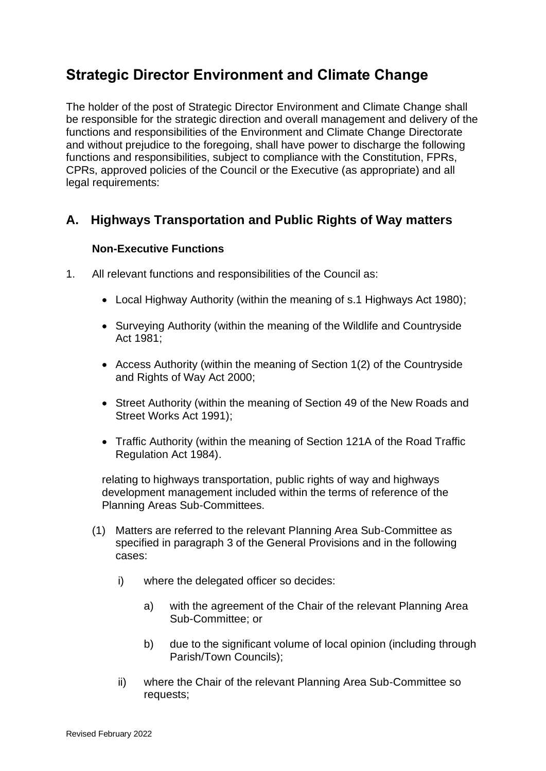# **Strategic Director Environment and Climate Change**

The holder of the post of Strategic Director Environment and Climate Change shall be responsible for the strategic direction and overall management and delivery of the functions and responsibilities of the Environment and Climate Change Directorate and without prejudice to the foregoing, shall have power to discharge the following functions and responsibilities, subject to compliance with the Constitution, FPRs, CPRs, approved policies of the Council or the Executive (as appropriate) and all legal requirements:

# **A. Highways Transportation and Public Rights of Way matters**

## **Non-Executive Functions**

- 1. All relevant functions and responsibilities of the Council as:
	- Local Highway Authority (within the meaning of s.1 Highways Act 1980);
	- Surveying Authority (within the meaning of the Wildlife and Countryside Act 1981;
	- Access Authority (within the meaning of Section 1(2) of the Countryside and Rights of Way Act 2000;
	- Street Authority (within the meaning of Section 49 of the New Roads and Street Works Act 1991);
	- Traffic Authority (within the meaning of Section 121A of the Road Traffic Regulation Act 1984).

relating to highways transportation, public rights of way and highways development management included within the terms of reference of the Planning Areas Sub-Committees.

- (1) Matters are referred to the relevant Planning Area Sub-Committee as specified in paragraph 3 of the General Provisions and in the following cases:
	- i) where the delegated officer so decides:
		- a) with the agreement of the Chair of the relevant Planning Area Sub-Committee; or
		- b) due to the significant volume of local opinion (including through Parish/Town Councils);
	- ii) where the Chair of the relevant Planning Area Sub-Committee so requests;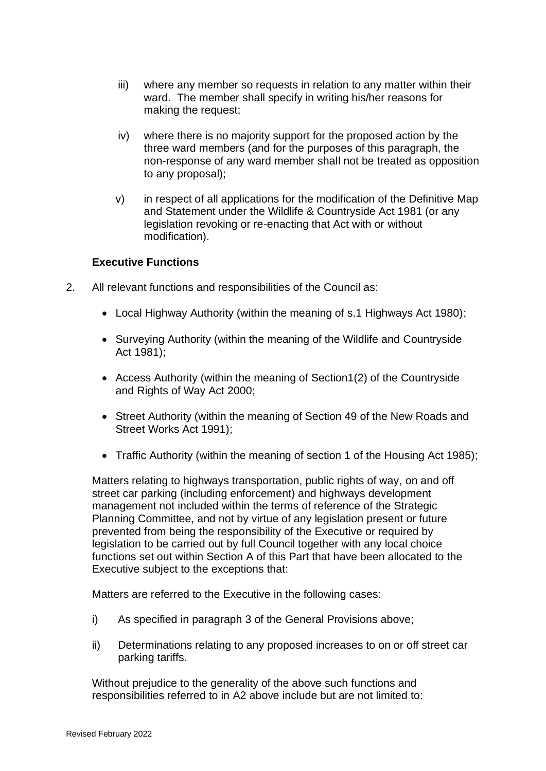- iii) where any member so requests in relation to any matter within their ward. The member shall specify in writing his/her reasons for making the request;
- iv) where there is no majority support for the proposed action by the three ward members (and for the purposes of this paragraph, the non-response of any ward member shall not be treated as opposition to any proposal);
- v) in respect of all applications for the modification of the Definitive Map and Statement under the Wildlife & Countryside Act 1981 (or any legislation revoking or re-enacting that Act with or without modification).

### **Executive Functions**

- 2. All relevant functions and responsibilities of the Council as:
	- Local Highway Authority (within the meaning of s.1 Highways Act 1980);
	- Surveying Authority (within the meaning of the Wildlife and Countryside Act 1981);
	- Access Authority (within the meaning of Section1(2) of the Countryside and Rights of Way Act 2000;
	- Street Authority (within the meaning of Section 49 of the New Roads and Street Works Act 1991);
	- Traffic Authority (within the meaning of section 1 of the Housing Act 1985);

Matters relating to highways transportation, public rights of way, on and off street car parking (including enforcement) and highways development management not included within the terms of reference of the Strategic Planning Committee, and not by virtue of any legislation present or future prevented from being the responsibility of the Executive or required by legislation to be carried out by full Council together with any local choice functions set out within Section A of this Part that have been allocated to the Executive subject to the exceptions that:

Matters are referred to the Executive in the following cases:

- i) As specified in paragraph 3 of the General Provisions above;
- ii) Determinations relating to any proposed increases to on or off street car parking tariffs.

Without prejudice to the generality of the above such functions and responsibilities referred to in A2 above include but are not limited to: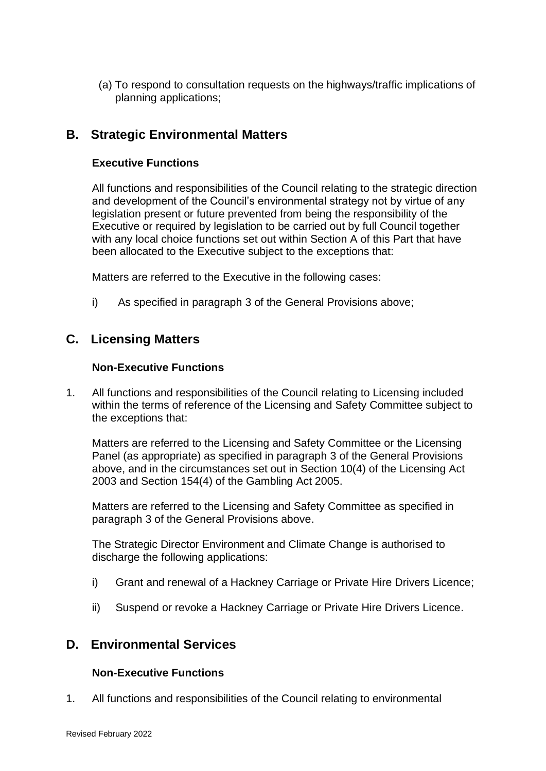(a) To respond to consultation requests on the highways/traffic implications of planning applications;

## **B. Strategic Environmental Matters**

### **Executive Functions**

All functions and responsibilities of the Council relating to the strategic direction and development of the Council's environmental strategy not by virtue of any legislation present or future prevented from being the responsibility of the Executive or required by legislation to be carried out by full Council together with any local choice functions set out within Section A of this Part that have been allocated to the Executive subject to the exceptions that:

Matters are referred to the Executive in the following cases:

i) As specified in paragraph 3 of the General Provisions above;

## **C. Licensing Matters**

### **Non-Executive Functions**

1. All functions and responsibilities of the Council relating to Licensing included within the terms of reference of the Licensing and Safety Committee subject to the exceptions that:

Matters are referred to the Licensing and Safety Committee or the Licensing Panel (as appropriate) as specified in paragraph 3 of the General Provisions above, and in the circumstances set out in Section 10(4) of the Licensing Act 2003 and Section 154(4) of the Gambling Act 2005.

Matters are referred to the Licensing and Safety Committee as specified in paragraph 3 of the General Provisions above.

The Strategic Director Environment and Climate Change is authorised to discharge the following applications:

- i) Grant and renewal of a Hackney Carriage or Private Hire Drivers Licence;
- ii) Suspend or revoke a Hackney Carriage or Private Hire Drivers Licence.

## **D. Environmental Services**

### **Non-Executive Functions**

1. All functions and responsibilities of the Council relating to environmental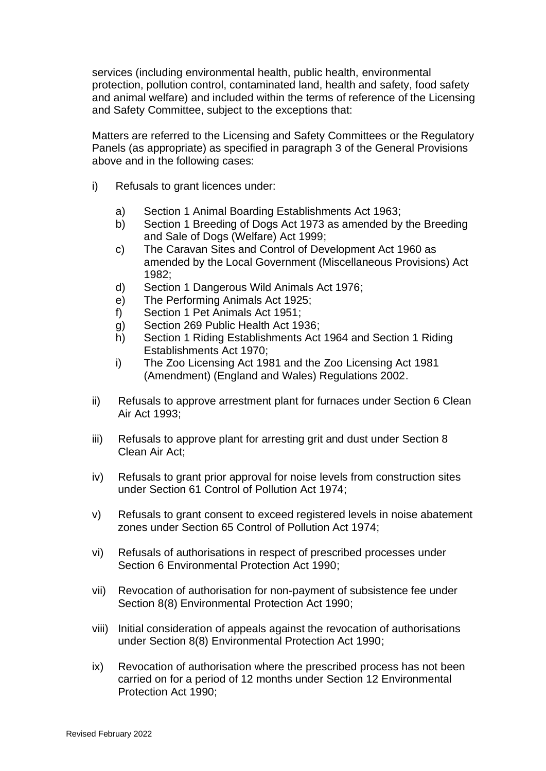services (including environmental health, public health, environmental protection, pollution control, contaminated land, health and safety, food safety and animal welfare) and included within the terms of reference of the Licensing and Safety Committee, subject to the exceptions that:

Matters are referred to the Licensing and Safety Committees or the Regulatory Panels (as appropriate) as specified in paragraph 3 of the General Provisions above and in the following cases:

- i) Refusals to grant licences under:
	- a) Section 1 Animal Boarding Establishments Act 1963;
	- b) Section 1 Breeding of Dogs Act 1973 as amended by the Breeding and Sale of Dogs (Welfare) Act 1999;
	- c) The Caravan Sites and Control of Development Act 1960 as amended by the Local Government (Miscellaneous Provisions) Act 1982;
	- d) Section 1 Dangerous Wild Animals Act 1976;
	- e) The Performing Animals Act 1925;
	- f) Section 1 Pet Animals Act 1951;
	- g) Section 269 Public Health Act 1936;
	- h) Section 1 Riding Establishments Act 1964 and Section 1 Riding Establishments Act 1970;
	- i) The Zoo Licensing Act 1981 and the Zoo Licensing Act 1981 (Amendment) (England and Wales) Regulations 2002.
- ii) Refusals to approve arrestment plant for furnaces under Section 6 Clean Air Act 1993;
- iii) Refusals to approve plant for arresting grit and dust under Section 8 Clean Air Act;
- iv) Refusals to grant prior approval for noise levels from construction sites under Section 61 Control of Pollution Act 1974;
- v) Refusals to grant consent to exceed registered levels in noise abatement zones under Section 65 Control of Pollution Act 1974;
- vi) Refusals of authorisations in respect of prescribed processes under Section 6 Environmental Protection Act 1990;
- vii) Revocation of authorisation for non-payment of subsistence fee under Section 8(8) Environmental Protection Act 1990;
- viii) Initial consideration of appeals against the revocation of authorisations under Section 8(8) Environmental Protection Act 1990;
- ix) Revocation of authorisation where the prescribed process has not been carried on for a period of 12 months under Section 12 Environmental Protection Act 1990;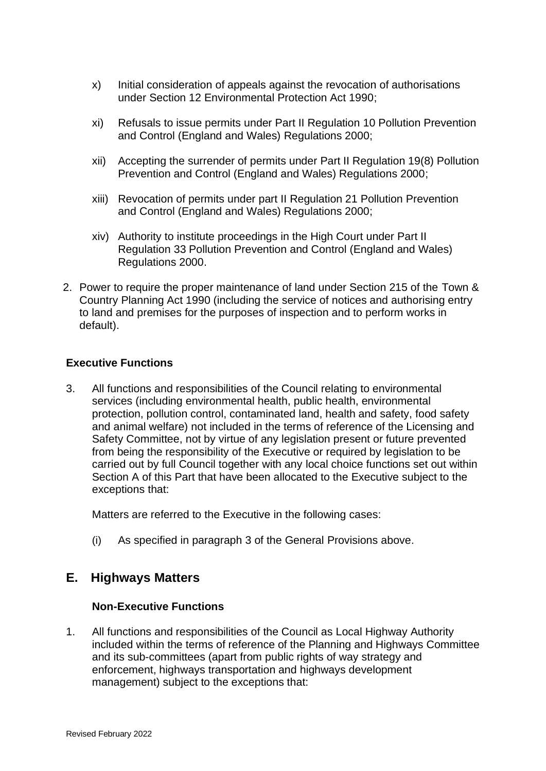- x) Initial consideration of appeals against the revocation of authorisations under Section 12 Environmental Protection Act 1990;
- xi) Refusals to issue permits under Part II Regulation 10 Pollution Prevention and Control (England and Wales) Regulations 2000;
- xii) Accepting the surrender of permits under Part II Regulation 19(8) Pollution Prevention and Control (England and Wales) Regulations 2000;
- xiii) Revocation of permits under part II Regulation 21 Pollution Prevention and Control (England and Wales) Regulations 2000;
- xiv) Authority to institute proceedings in the High Court under Part II Regulation 33 Pollution Prevention and Control (England and Wales) Regulations 2000.
- 2. Power to require the proper maintenance of land under Section 215 of the Town & Country Planning Act 1990 (including the service of notices and authorising entry to land and premises for the purposes of inspection and to perform works in default).

### **Executive Functions**

3. All functions and responsibilities of the Council relating to environmental services (including environmental health, public health, environmental protection, pollution control, contaminated land, health and safety, food safety and animal welfare) not included in the terms of reference of the Licensing and Safety Committee, not by virtue of any legislation present or future prevented from being the responsibility of the Executive or required by legislation to be carried out by full Council together with any local choice functions set out within Section A of this Part that have been allocated to the Executive subject to the exceptions that:

Matters are referred to the Executive in the following cases:

(i) As specified in paragraph 3 of the General Provisions above.

## **E. Highways Matters**

### **Non-Executive Functions**

1. All functions and responsibilities of the Council as Local Highway Authority included within the terms of reference of the Planning and Highways Committee and its sub-committees (apart from public rights of way strategy and enforcement, highways transportation and highways development management) subject to the exceptions that: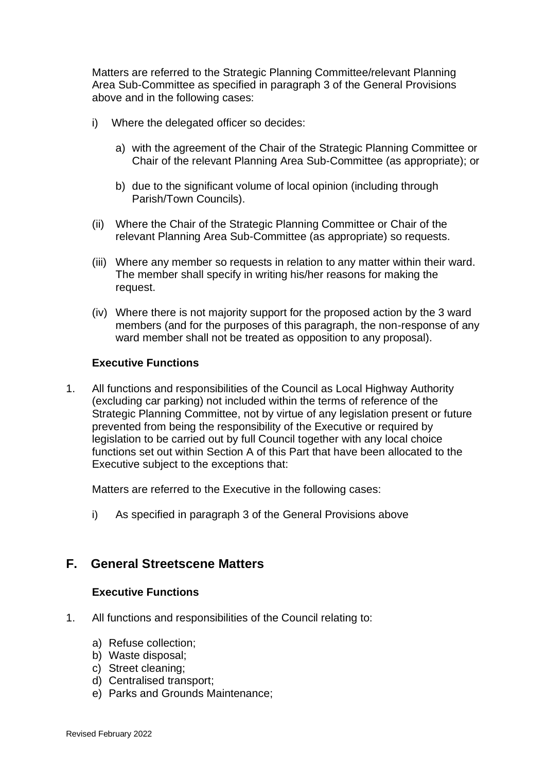Matters are referred to the Strategic Planning Committee/relevant Planning Area Sub-Committee as specified in paragraph 3 of the General Provisions above and in the following cases:

- i) Where the delegated officer so decides:
	- a) with the agreement of the Chair of the Strategic Planning Committee or Chair of the relevant Planning Area Sub-Committee (as appropriate); or
	- b) due to the significant volume of local opinion (including through Parish/Town Councils).
- (ii) Where the Chair of the Strategic Planning Committee or Chair of the relevant Planning Area Sub-Committee (as appropriate) so requests.
- (iii) Where any member so requests in relation to any matter within their ward. The member shall specify in writing his/her reasons for making the request.
- (iv) Where there is not majority support for the proposed action by the 3 ward members (and for the purposes of this paragraph, the non-response of any ward member shall not be treated as opposition to any proposal).

#### **Executive Functions**

1. All functions and responsibilities of the Council as Local Highway Authority (excluding car parking) not included within the terms of reference of the Strategic Planning Committee, not by virtue of any legislation present or future prevented from being the responsibility of the Executive or required by legislation to be carried out by full Council together with any local choice functions set out within Section A of this Part that have been allocated to the Executive subject to the exceptions that:

Matters are referred to the Executive in the following cases:

i) As specified in paragraph 3 of the General Provisions above

## **F. General Streetscene Matters**

### **Executive Functions**

- 1. All functions and responsibilities of the Council relating to:
	- a) Refuse collection;
	- b) Waste disposal;
	- c) Street cleaning;
	- d) Centralised transport;
	- e) Parks and Grounds Maintenance;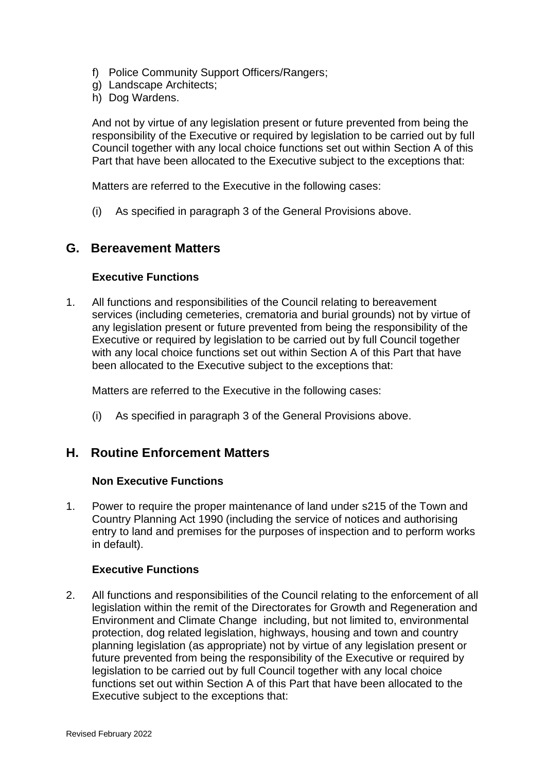- f) Police Community Support Officers/Rangers;
- g) Landscape Architects;
- h) Dog Wardens.

And not by virtue of any legislation present or future prevented from being the responsibility of the Executive or required by legislation to be carried out by full Council together with any local choice functions set out within Section A of this Part that have been allocated to the Executive subject to the exceptions that:

Matters are referred to the Executive in the following cases:

(i) As specified in paragraph 3 of the General Provisions above.

## **G. Bereavement Matters**

### **Executive Functions**

1. All functions and responsibilities of the Council relating to bereavement services (including cemeteries, crematoria and burial grounds) not by virtue of any legislation present or future prevented from being the responsibility of the Executive or required by legislation to be carried out by full Council together with any local choice functions set out within Section A of this Part that have been allocated to the Executive subject to the exceptions that:

Matters are referred to the Executive in the following cases:

(i) As specified in paragraph 3 of the General Provisions above.

## **H. Routine Enforcement Matters**

### **Non Executive Functions**

1. Power to require the proper maintenance of land under s215 of the Town and Country Planning Act 1990 (including the service of notices and authorising entry to land and premises for the purposes of inspection and to perform works in default).

### **Executive Functions**

2. All functions and responsibilities of the Council relating to the enforcement of all legislation within the remit of the Directorates for Growth and Regeneration and Environment and Climate Change including, but not limited to, environmental protection, dog related legislation, highways, housing and town and country planning legislation (as appropriate) not by virtue of any legislation present or future prevented from being the responsibility of the Executive or required by legislation to be carried out by full Council together with any local choice functions set out within Section A of this Part that have been allocated to the Executive subject to the exceptions that: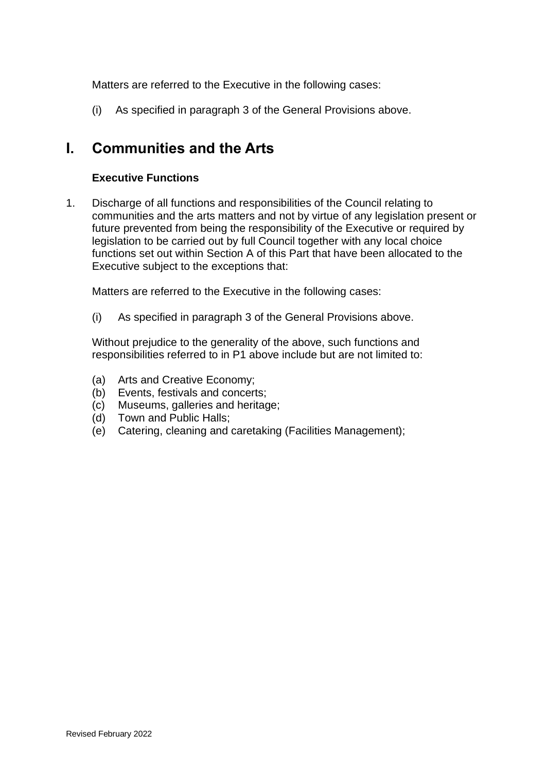Matters are referred to the Executive in the following cases:

(i) As specified in paragraph 3 of the General Provisions above.

# **I. Communities and the Arts**

### **Executive Functions**

1. Discharge of all functions and responsibilities of the Council relating to communities and the arts matters and not by virtue of any legislation present or future prevented from being the responsibility of the Executive or required by legislation to be carried out by full Council together with any local choice functions set out within Section A of this Part that have been allocated to the Executive subject to the exceptions that:

Matters are referred to the Executive in the following cases:

(i) As specified in paragraph 3 of the General Provisions above.

Without prejudice to the generality of the above, such functions and responsibilities referred to in P1 above include but are not limited to:

- (a) Arts and Creative Economy;
- (b) Events, festivals and concerts;
- (c) Museums, galleries and heritage;
- (d) Town and Public Halls;
- (e) Catering, cleaning and caretaking (Facilities Management);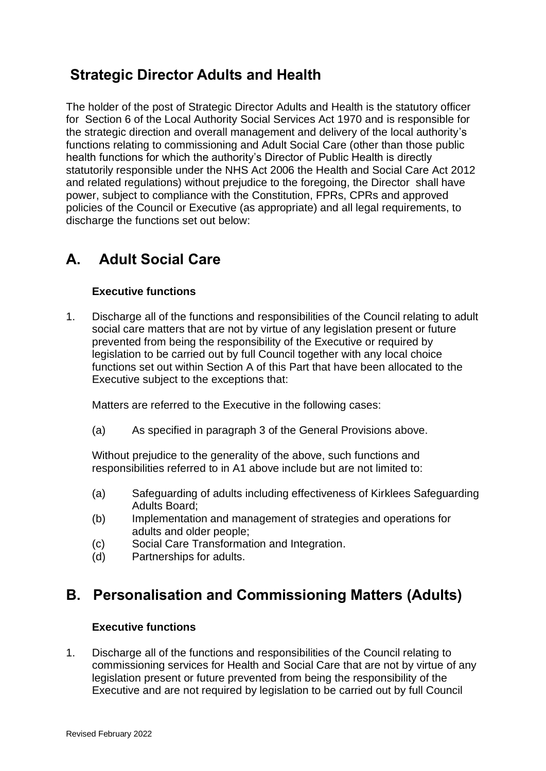# **Strategic Director Adults and Health**

The holder of the post of Strategic Director Adults and Health is the statutory officer for Section 6 of the Local Authority Social Services Act 1970 and is responsible for the strategic direction and overall management and delivery of the local authority's functions relating to commissioning and Adult Social Care (other than those public health functions for which the authority's Director of Public Health is directly statutorily responsible under the NHS Act 2006 the Health and Social Care Act 2012 and related regulations) without prejudice to the foregoing, the Director shall have power, subject to compliance with the Constitution, FPRs, CPRs and approved policies of the Council or Executive (as appropriate) and all legal requirements, to discharge the functions set out below:

# **A. Adult Social Care**

## **Executive functions**

1. Discharge all of the functions and responsibilities of the Council relating to adult social care matters that are not by virtue of any legislation present or future prevented from being the responsibility of the Executive or required by legislation to be carried out by full Council together with any local choice functions set out within Section A of this Part that have been allocated to the Executive subject to the exceptions that:

Matters are referred to the Executive in the following cases:

(a) As specified in paragraph 3 of the General Provisions above.

Without prejudice to the generality of the above, such functions and responsibilities referred to in A1 above include but are not limited to:

- (a) Safeguarding of adults including effectiveness of Kirklees Safeguarding Adults Board;
- (b) Implementation and management of strategies and operations for adults and older people;
- (c) Social Care Transformation and Integration.
- (d) Partnerships for adults.

# **B. Personalisation and Commissioning Matters (Adults)**

## **Executive functions**

1. Discharge all of the functions and responsibilities of the Council relating to commissioning services for Health and Social Care that are not by virtue of any legislation present or future prevented from being the responsibility of the Executive and are not required by legislation to be carried out by full Council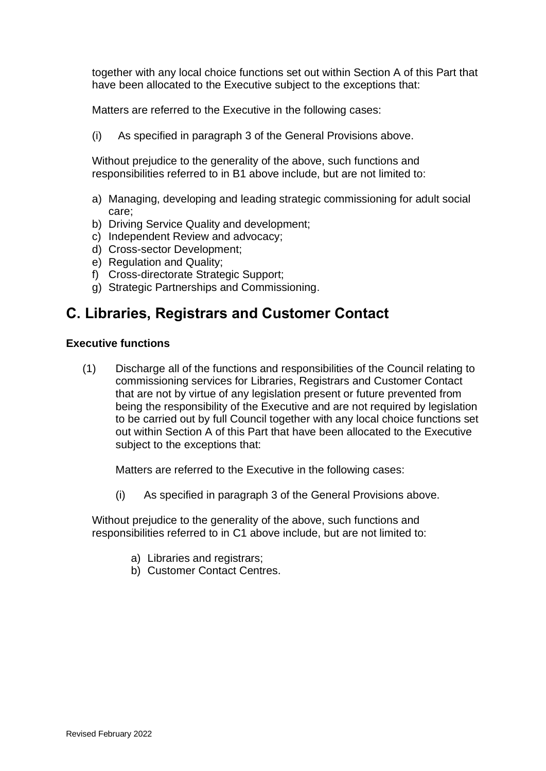together with any local choice functions set out within Section A of this Part that have been allocated to the Executive subject to the exceptions that:

Matters are referred to the Executive in the following cases:

(i) As specified in paragraph 3 of the General Provisions above.

Without prejudice to the generality of the above, such functions and responsibilities referred to in B1 above include, but are not limited to:

- a) Managing, developing and leading strategic commissioning for adult social care;
- b) Driving Service Quality and development;
- c) Independent Review and advocacy;
- d) Cross-sector Development;
- e) Regulation and Quality;
- f) Cross-directorate Strategic Support;
- g) Strategic Partnerships and Commissioning.

# **C. Libraries, Registrars and Customer Contact**

### **Executive functions**

(1) Discharge all of the functions and responsibilities of the Council relating to commissioning services for Libraries, Registrars and Customer Contact that are not by virtue of any legislation present or future prevented from being the responsibility of the Executive and are not required by legislation to be carried out by full Council together with any local choice functions set out within Section A of this Part that have been allocated to the Executive subject to the exceptions that:

Matters are referred to the Executive in the following cases:

(i) As specified in paragraph 3 of the General Provisions above.

Without prejudice to the generality of the above, such functions and responsibilities referred to in C1 above include, but are not limited to:

- a) Libraries and registrars;
- b) Customer Contact Centres.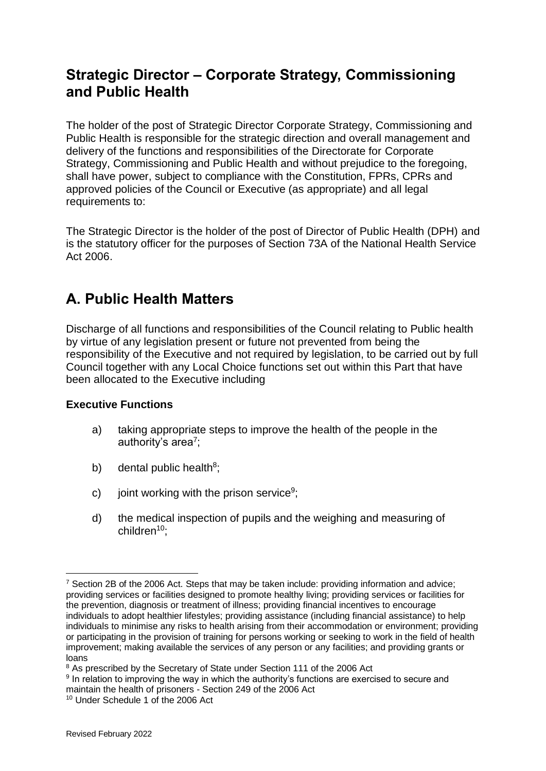# **Strategic Director – Corporate Strategy, Commissioning and Public Health**

The holder of the post of Strategic Director Corporate Strategy, Commissioning and Public Health is responsible for the strategic direction and overall management and delivery of the functions and responsibilities of the Directorate for Corporate Strategy, Commissioning and Public Health and without prejudice to the foregoing, shall have power, subject to compliance with the Constitution, FPRs, CPRs and approved policies of the Council or Executive (as appropriate) and all legal requirements to:

The Strategic Director is the holder of the post of Director of Public Health (DPH) and is the statutory officer for the purposes of Section 73A of the National Health Service Act 2006.

# **A. Public Health Matters**

Discharge of all functions and responsibilities of the Council relating to Public health by virtue of any legislation present or future not prevented from being the responsibility of the Executive and not required by legislation, to be carried out by full Council together with any Local Choice functions set out within this Part that have been allocated to the Executive including

## **Executive Functions**

- a) taking appropriate steps to improve the health of the people in the authority's area<sup>7</sup>;
- b) dental public health<sup>8</sup>;
- c) joint working with the prison service<sup>9</sup>;
- d) the medical inspection of pupils and the weighing and measuring of children<sup>10</sup>:

<sup>&</sup>lt;sup>7</sup> Section 2B of the 2006 Act. Steps that may be taken include: providing information and advice; providing services or facilities designed to promote healthy living; providing services or facilities for the prevention, diagnosis or treatment of illness; providing financial incentives to encourage individuals to adopt healthier lifestyles; providing assistance (including financial assistance) to help individuals to minimise any risks to health arising from their accommodation or environment; providing or participating in the provision of training for persons working or seeking to work in the field of health improvement; making available the services of any person or any facilities; and providing grants or loans

<sup>&</sup>lt;sup>8</sup> As prescribed by the Secretary of State under Section 111 of the 2006 Act

<sup>&</sup>lt;sup>9</sup> In relation to improving the way in which the authority's functions are exercised to secure and maintain the health of prisoners - Section 249 of the 2006 Act

<sup>10</sup> Under Schedule 1 of the 2006 Act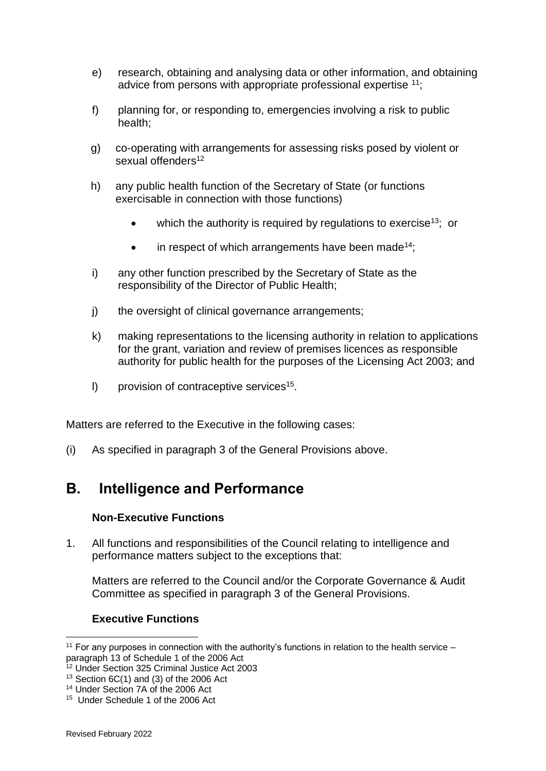- e) research, obtaining and analysing data or other information, and obtaining advice from persons with appropriate professional expertise <sup>11</sup>;
- f) planning for, or responding to, emergencies involving a risk to public health;
- g) co-operating with arrangements for assessing risks posed by violent or sexual offenders<sup>12</sup>
- h) any public health function of the Secretary of State (or functions exercisable in connection with those functions)
	- which the authority is required by requiations to exercise<sup>13</sup>; or
	- $\bullet$  in respect of which arrangements have been made<sup>14</sup>;
- i) any other function prescribed by the Secretary of State as the responsibility of the Director of Public Health;
- j) the oversight of clinical governance arrangements;
- k) making representations to the licensing authority in relation to applications for the grant, variation and review of premises licences as responsible authority for public health for the purposes of the Licensing Act 2003; and
- I) provision of contraceptive services<sup>15</sup>.

Matters are referred to the Executive in the following cases:

(i) As specified in paragraph 3 of the General Provisions above.

# **B. Intelligence and Performance**

### **Non-Executive Functions**

1. All functions and responsibilities of the Council relating to intelligence and performance matters subject to the exceptions that:

Matters are referred to the Council and/or the Corporate Governance & Audit Committee as specified in paragraph 3 of the General Provisions.

### **Executive Functions**

<sup>&</sup>lt;sup>11</sup> For any purposes in connection with the authority's functions in relation to the health service  $$ paragraph 13 of Schedule 1 of the 2006 Act

<sup>&</sup>lt;sup>12</sup> Under Section 325 Criminal Justice Act 2003

 $13$  Section 6C(1) and (3) of the 2006 Act

<sup>14</sup> Under Section 7A of the 2006 Act

<sup>&</sup>lt;sup>15</sup> Under Schedule 1 of the 2006 Act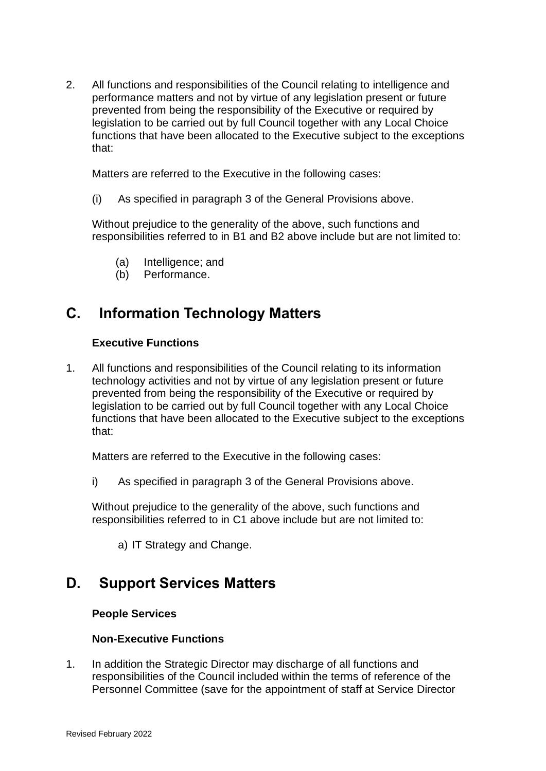2. All functions and responsibilities of the Council relating to intelligence and performance matters and not by virtue of any legislation present or future prevented from being the responsibility of the Executive or required by legislation to be carried out by full Council together with any Local Choice functions that have been allocated to the Executive subject to the exceptions that:

Matters are referred to the Executive in the following cases:

(i) As specified in paragraph 3 of the General Provisions above.

Without prejudice to the generality of the above, such functions and responsibilities referred to in B1 and B2 above include but are not limited to:

- (a) Intelligence; and
- (b) Performance.

# **C. Information Technology Matters**

### **Executive Functions**

1. All functions and responsibilities of the Council relating to its information technology activities and not by virtue of any legislation present or future prevented from being the responsibility of the Executive or required by legislation to be carried out by full Council together with any Local Choice functions that have been allocated to the Executive subject to the exceptions that:

Matters are referred to the Executive in the following cases:

i) As specified in paragraph 3 of the General Provisions above.

Without prejudice to the generality of the above, such functions and responsibilities referred to in C1 above include but are not limited to:

a) IT Strategy and Change.

# **D. Support Services Matters**

### **People Services**

## **Non-Executive Functions**

1. In addition the Strategic Director may discharge of all functions and responsibilities of the Council included within the terms of reference of the Personnel Committee (save for the appointment of staff at Service Director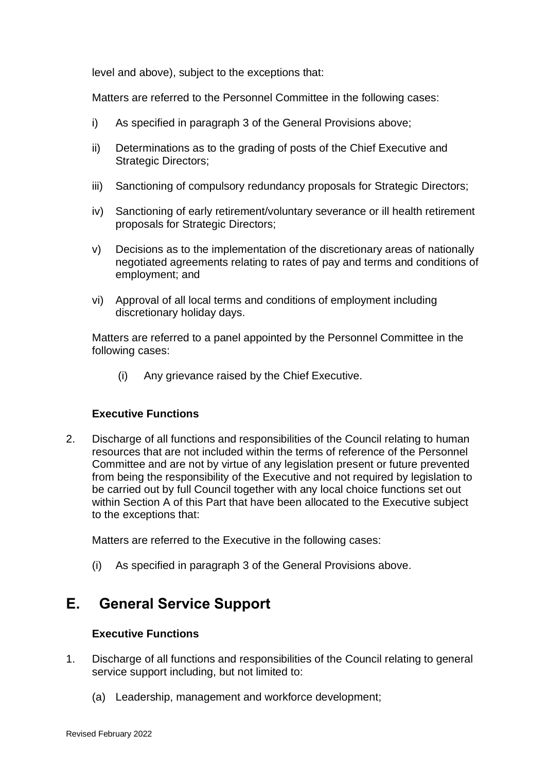level and above), subject to the exceptions that:

Matters are referred to the Personnel Committee in the following cases:

- i) As specified in paragraph 3 of the General Provisions above;
- ii) Determinations as to the grading of posts of the Chief Executive and Strategic Directors;
- iii) Sanctioning of compulsory redundancy proposals for Strategic Directors;
- iv) Sanctioning of early retirement/voluntary severance or ill health retirement proposals for Strategic Directors;
- v) Decisions as to the implementation of the discretionary areas of nationally negotiated agreements relating to rates of pay and terms and conditions of employment; and
- vi) Approval of all local terms and conditions of employment including discretionary holiday days.

Matters are referred to a panel appointed by the Personnel Committee in the following cases:

(i) Any grievance raised by the Chief Executive.

### **Executive Functions**

2. Discharge of all functions and responsibilities of the Council relating to human resources that are not included within the terms of reference of the Personnel Committee and are not by virtue of any legislation present or future prevented from being the responsibility of the Executive and not required by legislation to be carried out by full Council together with any local choice functions set out within Section A of this Part that have been allocated to the Executive subject to the exceptions that:

Matters are referred to the Executive in the following cases:

(i) As specified in paragraph 3 of the General Provisions above.

# **E. General Service Support**

### **Executive Functions**

- 1. Discharge of all functions and responsibilities of the Council relating to general service support including, but not limited to:
	- (a) Leadership, management and workforce development;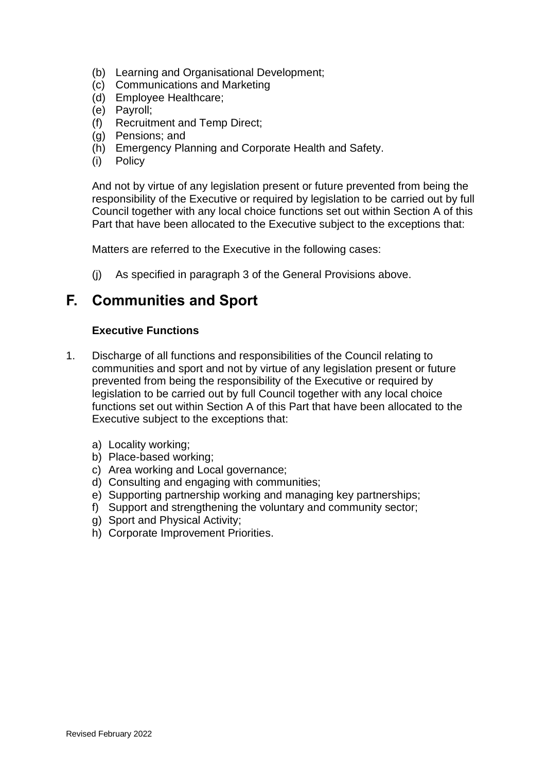- (b) Learning and Organisational Development;
- (c) Communications and Marketing
- (d) Employee Healthcare;
- (e) Payroll;
- (f) Recruitment and Temp Direct;
- (g) Pensions; and
- (h) Emergency Planning and Corporate Health and Safety.
- (i) Policy

And not by virtue of any legislation present or future prevented from being the responsibility of the Executive or required by legislation to be carried out by full Council together with any local choice functions set out within Section A of this Part that have been allocated to the Executive subject to the exceptions that:

Matters are referred to the Executive in the following cases:

(j) As specified in paragraph 3 of the General Provisions above.

# **F. Communities and Sport**

#### **Executive Functions**

- 1. Discharge of all functions and responsibilities of the Council relating to communities and sport and not by virtue of any legislation present or future prevented from being the responsibility of the Executive or required by legislation to be carried out by full Council together with any local choice functions set out within Section A of this Part that have been allocated to the Executive subject to the exceptions that:
	- a) Locality working;
	- b) Place-based working;
	- c) Area working and Local governance;
	- d) Consulting and engaging with communities;
	- e) Supporting partnership working and managing key partnerships;
	- f) Support and strengthening the voluntary and community sector;
	- g) Sport and Physical Activity;
	- h) Corporate Improvement Priorities.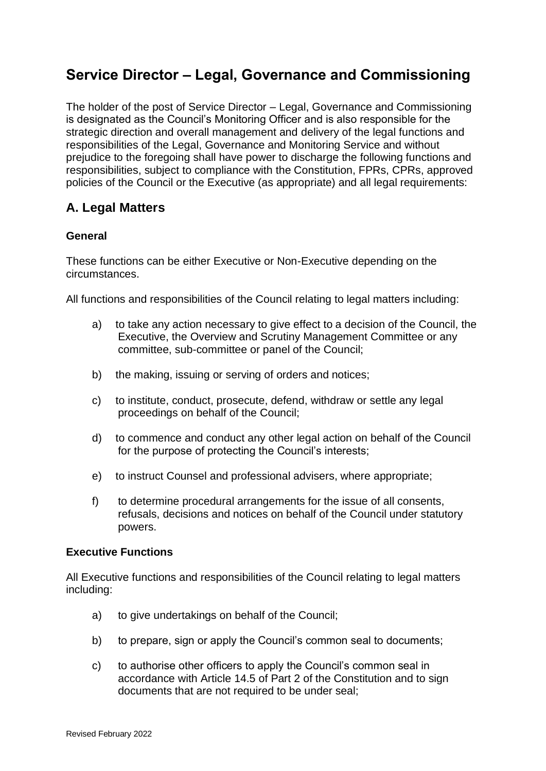# **Service Director – Legal, Governance and Commissioning**

The holder of the post of Service Director – Legal, Governance and Commissioning is designated as the Council's Monitoring Officer and is also responsible for the strategic direction and overall management and delivery of the legal functions and responsibilities of the Legal, Governance and Monitoring Service and without prejudice to the foregoing shall have power to discharge the following functions and responsibilities, subject to compliance with the Constitution, FPRs, CPRs, approved policies of the Council or the Executive (as appropriate) and all legal requirements:

## **A. Legal Matters**

## **General**

These functions can be either Executive or Non-Executive depending on the circumstances.

All functions and responsibilities of the Council relating to legal matters including:

- a) to take any action necessary to give effect to a decision of the Council, the Executive, the Overview and Scrutiny Management Committee or any committee, sub-committee or panel of the Council;
- b) the making, issuing or serving of orders and notices;
- c) to institute, conduct, prosecute, defend, withdraw or settle any legal proceedings on behalf of the Council;
- d) to commence and conduct any other legal action on behalf of the Council for the purpose of protecting the Council's interests;
- e) to instruct Counsel and professional advisers, where appropriate;
- f) to determine procedural arrangements for the issue of all consents, refusals, decisions and notices on behalf of the Council under statutory powers.

### **Executive Functions**

All Executive functions and responsibilities of the Council relating to legal matters including:

- a) to give undertakings on behalf of the Council;
- b) to prepare, sign or apply the Council's common seal to documents;
- c) to authorise other officers to apply the Council's common seal in accordance with Article 14.5 of Part 2 of the Constitution and to sign documents that are not required to be under seal;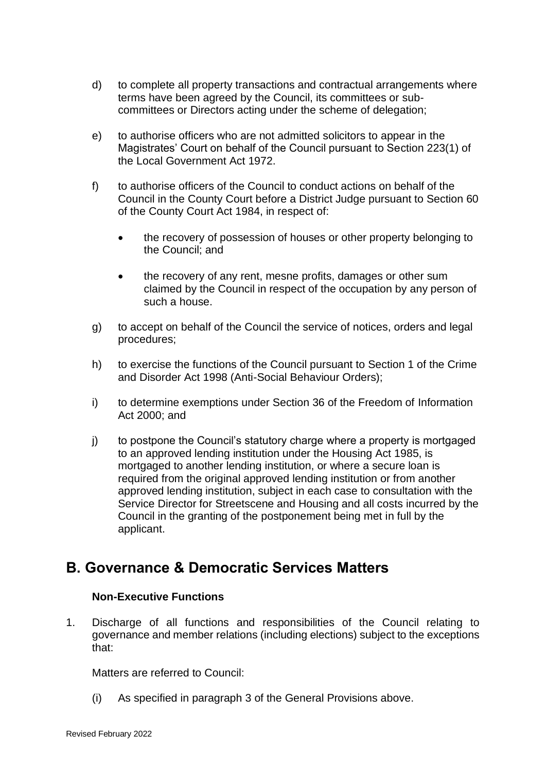- d) to complete all property transactions and contractual arrangements where terms have been agreed by the Council, its committees or subcommittees or Directors acting under the scheme of delegation;
- e) to authorise officers who are not admitted solicitors to appear in the Magistrates' Court on behalf of the Council pursuant to Section 223(1) of the Local Government Act 1972.
- f) to authorise officers of the Council to conduct actions on behalf of the Council in the County Court before a District Judge pursuant to Section 60 of the County Court Act 1984, in respect of:
	- the recovery of possession of houses or other property belonging to the Council; and
	- the recovery of any rent, mesne profits, damages or other sum claimed by the Council in respect of the occupation by any person of such a house.
- g) to accept on behalf of the Council the service of notices, orders and legal procedures;
- h) to exercise the functions of the Council pursuant to Section 1 of the Crime and Disorder Act 1998 (Anti-Social Behaviour Orders);
- i) to determine exemptions under Section 36 of the Freedom of Information Act 2000; and
- j) to postpone the Council's statutory charge where a property is mortgaged to an approved lending institution under the Housing Act 1985, is mortgaged to another lending institution, or where a secure loan is required from the original approved lending institution or from another approved lending institution, subject in each case to consultation with the Service Director for Streetscene and Housing and all costs incurred by the Council in the granting of the postponement being met in full by the applicant.

# **B. Governance & Democratic Services Matters**

### **Non-Executive Functions**

1. Discharge of all functions and responsibilities of the Council relating to governance and member relations (including elections) subject to the exceptions that:

Matters are referred to Council:

(i) As specified in paragraph 3 of the General Provisions above.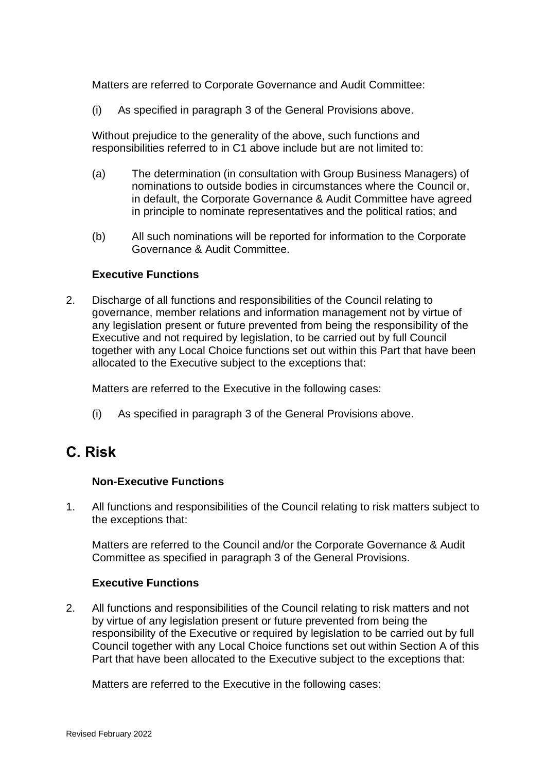Matters are referred to Corporate Governance and Audit Committee:

(i) As specified in paragraph 3 of the General Provisions above.

Without prejudice to the generality of the above, such functions and responsibilities referred to in C1 above include but are not limited to:

- (a) The determination (in consultation with Group Business Managers) of nominations to outside bodies in circumstances where the Council or, in default, the Corporate Governance & Audit Committee have agreed in principle to nominate representatives and the political ratios; and
- (b) All such nominations will be reported for information to the Corporate Governance & Audit Committee.

#### **Executive Functions**

2. Discharge of all functions and responsibilities of the Council relating to governance, member relations and information management not by virtue of any legislation present or future prevented from being the responsibility of the Executive and not required by legislation, to be carried out by full Council together with any Local Choice functions set out within this Part that have been allocated to the Executive subject to the exceptions that:

Matters are referred to the Executive in the following cases:

(i) As specified in paragraph 3 of the General Provisions above.

# **C. Risk**

### **Non-Executive Functions**

1. All functions and responsibilities of the Council relating to risk matters subject to the exceptions that:

Matters are referred to the Council and/or the Corporate Governance & Audit Committee as specified in paragraph 3 of the General Provisions.

#### **Executive Functions**

2. All functions and responsibilities of the Council relating to risk matters and not by virtue of any legislation present or future prevented from being the responsibility of the Executive or required by legislation to be carried out by full Council together with any Local Choice functions set out within Section A of this Part that have been allocated to the Executive subject to the exceptions that:

Matters are referred to the Executive in the following cases: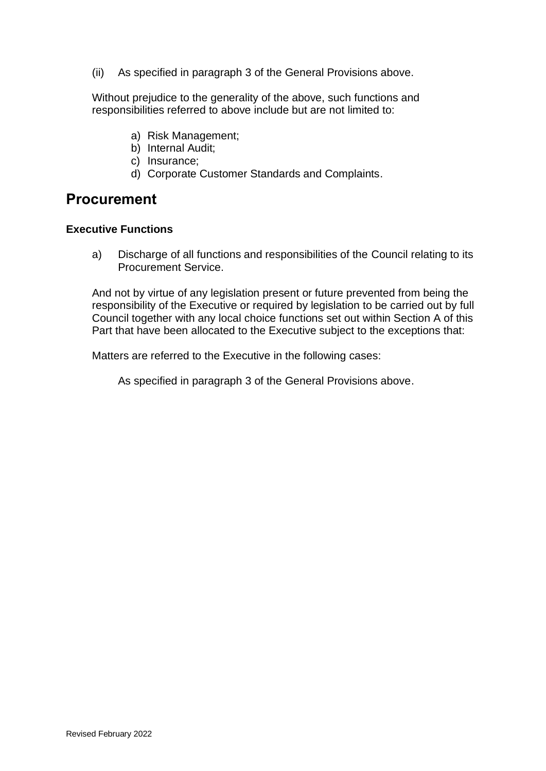(ii) As specified in paragraph 3 of the General Provisions above.

Without prejudice to the generality of the above, such functions and responsibilities referred to above include but are not limited to:

- a) Risk Management;
- b) Internal Audit;
- c) Insurance;
- d) Corporate Customer Standards and Complaints.

# **Procurement**

#### **Executive Functions**

a) Discharge of all functions and responsibilities of the Council relating to its Procurement Service.

And not by virtue of any legislation present or future prevented from being the responsibility of the Executive or required by legislation to be carried out by full Council together with any local choice functions set out within Section A of this Part that have been allocated to the Executive subject to the exceptions that:

Matters are referred to the Executive in the following cases:

As specified in paragraph 3 of the General Provisions above.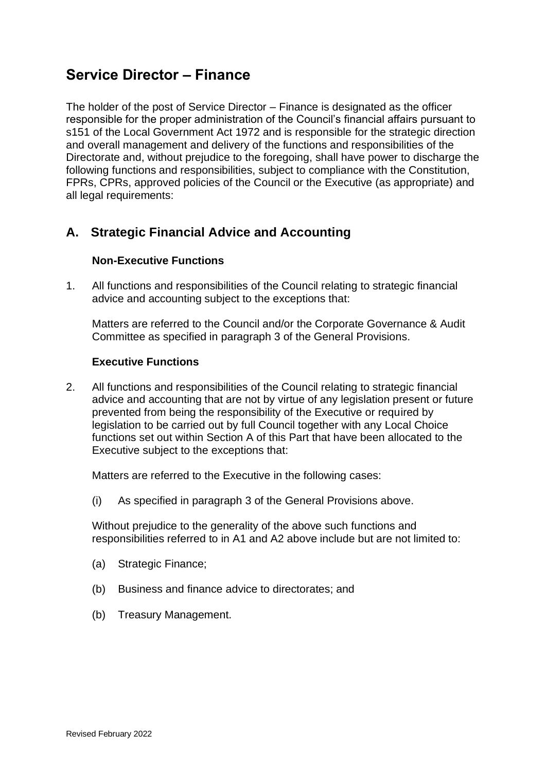# **Service Director – Finance**

The holder of the post of Service Director – Finance is designated as the officer responsible for the proper administration of the Council's financial affairs pursuant to s151 of the Local Government Act 1972 and is responsible for the strategic direction and overall management and delivery of the functions and responsibilities of the Directorate and, without prejudice to the foregoing, shall have power to discharge the following functions and responsibilities, subject to compliance with the Constitution, FPRs, CPRs, approved policies of the Council or the Executive (as appropriate) and all legal requirements:

## **A. Strategic Financial Advice and Accounting**

## **Non-Executive Functions**

1. All functions and responsibilities of the Council relating to strategic financial advice and accounting subject to the exceptions that:

Matters are referred to the Council and/or the Corporate Governance & Audit Committee as specified in paragraph 3 of the General Provisions.

### **Executive Functions**

2. All functions and responsibilities of the Council relating to strategic financial advice and accounting that are not by virtue of any legislation present or future prevented from being the responsibility of the Executive or required by legislation to be carried out by full Council together with any Local Choice functions set out within Section A of this Part that have been allocated to the Executive subject to the exceptions that:

Matters are referred to the Executive in the following cases:

(i) As specified in paragraph 3 of the General Provisions above.

Without prejudice to the generality of the above such functions and responsibilities referred to in A1 and A2 above include but are not limited to:

- (a) Strategic Finance;
- (b) Business and finance advice to directorates; and
- (b) Treasury Management.